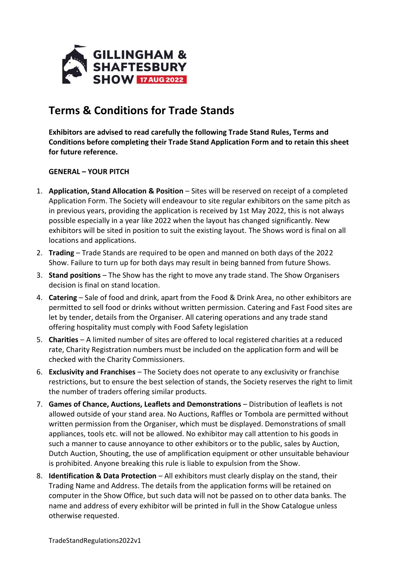

## **Terms & Conditions for Trade Stands**

**Exhibitors are advised to read carefully the following Trade Stand Rules, Terms and Conditions before completing their Trade Stand Application Form and to retain this sheet for future reference.**

## **GENERAL – YOUR PITCH**

- 1. **Application, Stand Allocation & Position** Sites will be reserved on receipt of a completed Application Form. The Society will endeavour to site regular exhibitors on the same pitch as in previous years, providing the application is received by 1st May 2022, this is not always possible especially in a year like 2022 when the layout has changed significantly. New exhibitors will be sited in position to suit the existing layout. The Shows word is final on all locations and applications.
- 2. **Trading**  Trade Stands are required to be open and manned on both days of the 2022 Show. Failure to turn up for both days may result in being banned from future Shows.
- 3. **Stand positions**  The Show has the right to move any trade stand. The Show Organisers decision is final on stand location.
- 4. **Catering** Sale of food and drink, apart from the Food & Drink Area, no other exhibitors are permitted to sell food or drinks without written permission. Catering and Fast Food sites are let by tender, details from the Organiser. All catering operations and any trade stand offering hospitality must comply with Food Safety legislation
- 5. **Charities** A limited number of sites are offered to local registered charities at a reduced rate, Charity Registration numbers must be included on the application form and will be checked with the Charity Commissioners.
- 6. **Exclusivity and Franchises** The Society does not operate to any exclusivity or franchise restrictions, but to ensure the best selection of stands, the Society reserves the right to limit the number of traders offering similar products.
- 7. **Games of Chance, Auctions, Leaflets and Demonstrations** Distribution of leaflets is not allowed outside of your stand area. No Auctions, Raffles or Tombola are permitted without written permission from the Organiser, which must be displayed. Demonstrations of small appliances, tools etc. will not be allowed. No exhibitor may call attention to his goods in such a manner to cause annoyance to other exhibitors or to the public, sales by Auction, Dutch Auction, Shouting, the use of amplification equipment or other unsuitable behaviour is prohibited. Anyone breaking this rule is liable to expulsion from the Show.
- 8. **Identification & Data Protection** All exhibitors must clearly display on the stand, their Trading Name and Address. The details from the application forms will be retained on computer in the Show Office, but such data will not be passed on to other data banks. The name and address of every exhibitor will be printed in full in the Show Catalogue unless otherwise requested.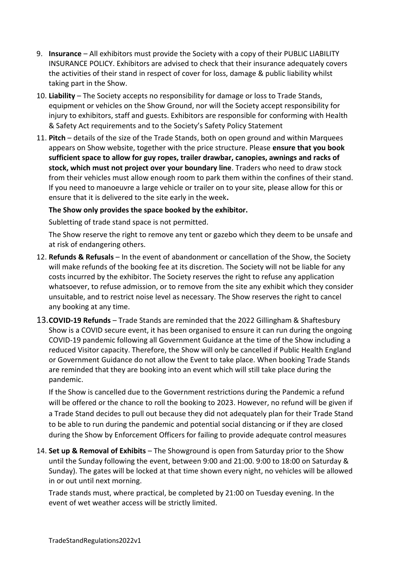- 9. **Insurance** All exhibitors must provide the Society with a copy of their PUBLIC LIABILITY INSURANCE POLICY. Exhibitors are advised to check that their insurance adequately covers the activities of their stand in respect of cover for loss, damage & public liability whilst taking part in the Show.
- 10. **Liability** The Society accepts no responsibility for damage or loss to Trade Stands, equipment or vehicles on the Show Ground, nor will the Society accept responsibility for injury to exhibitors, staff and guests. Exhibitors are responsible for conforming with Health & Safety Act requirements and to the Society's Safety Policy Statement
- 11. **Pitch**  details of the size of the Trade Stands, both on open ground and within Marquees appears on Show website, together with the price structure. Please **ensure that you book sufficient space to allow for guy ropes, trailer drawbar, canopies, awnings and racks of stock, which must not project over your boundary line**. Traders who need to draw stock from their vehicles must allow enough room to park them within the confines of their stand. If you need to manoeuvre a large vehicle or trailer on to your site, please allow for this or ensure that it is delivered to the site early in the week**.**

## **The Show only provides the space booked by the exhibitor.**

Subletting of trade stand space is not permitted.

The Show reserve the right to remove any tent or gazebo which they deem to be unsafe and at risk of endangering others.

- 12. **Refunds & Refusals** In the event of abandonment or cancellation of the Show, the Society will make refunds of the booking fee at its discretion. The Society will not be liable for any costs incurred by the exhibitor. The Society reserves the right to refuse any application whatsoever, to refuse admission, or to remove from the site any exhibit which they consider unsuitable, and to restrict noise level as necessary. The Show reserves the right to cancel any booking at any time.
- 13.**COVID-19 Refunds** Trade Stands are reminded that the 2022 Gillingham & Shaftesbury Show is a COVID secure event, it has been organised to ensure it can run during the ongoing COVID-19 pandemic following all Government Guidance at the time of the Show including a reduced Visitor capacity. Therefore, the Show will only be cancelled if Public Health England or Government Guidance do not allow the Event to take place. When booking Trade Stands are reminded that they are booking into an event which will still take place during the pandemic.

If the Show is cancelled due to the Government restrictions during the Pandemic a refund will be offered or the chance to roll the booking to 2023. However, no refund will be given if a Trade Stand decides to pull out because they did not adequately plan for their Trade Stand to be able to run during the pandemic and potential social distancing or if they are closed during the Show by Enforcement Officers for failing to provide adequate control measures

14. **Set up & Removal of Exhibits** – The Showground is open from Saturday prior to the Show until the Sunday following the event, between 9:00 and 21:00. 9:00 to 18:00 on Saturday & Sunday). The gates will be locked at that time shown every night, no vehicles will be allowed in or out until next morning.

Trade stands must, where practical, be completed by 21:00 on Tuesday evening. In the event of wet weather access will be strictly limited.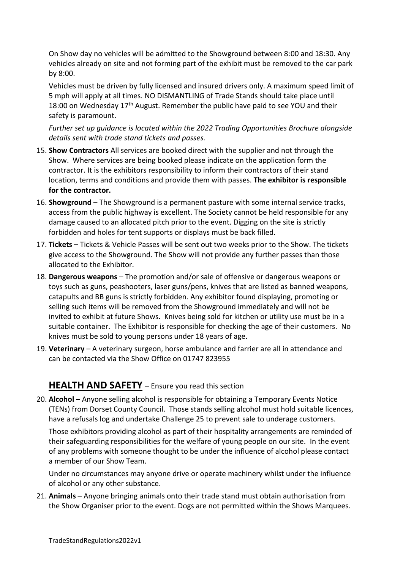On Show day no vehicles will be admitted to the Showground between 8:00 and 18:30. Any vehicles already on site and not forming part of the exhibit must be removed to the car park by 8:00.

Vehicles must be driven by fully licensed and insured drivers only. A maximum speed limit of 5 mph will apply at all times. NO DISMANTLING of Trade Stands should take place until 18:00 on Wednesday  $17<sup>th</sup>$  August. Remember the public have paid to see YOU and their safety is paramount.

*Further set up guidance is located within the 2022 Trading Opportunities Brochure alongside details sent with trade stand tickets and passes.* 

- 15. **Show Contractors** All services are booked direct with the supplier and not through the Show. Where services are being booked please indicate on the application form the contractor. It is the exhibitors responsibility to inform their contractors of their stand location, terms and conditions and provide them with passes. **The exhibitor is responsible for the contractor.**
- 16. **Showground** The Showground is a permanent pasture with some internal service tracks, access from the public highway is excellent. The Society cannot be held responsible for any damage caused to an allocated pitch prior to the event. Digging on the site is strictly forbidden and holes for tent supports or displays must be back filled.
- 17. **Tickets** Tickets & Vehicle Passes will be sent out two weeks prior to the Show. The tickets give access to the Showground. The Show will not provide any further passes than those allocated to the Exhibitor.
- 18. **Dangerous weapons** The promotion and/or sale of offensive or dangerous weapons or toys such as guns, peashooters, laser guns/pens, knives that are listed as banned weapons, catapults and BB guns is strictly forbidden. Any exhibitor found displaying, promoting or selling such items will be removed from the Showground immediately and will not be invited to exhibit at future Shows. Knives being sold for kitchen or utility use must be in a suitable container. The Exhibitor is responsible for checking the age of their customers. No knives must be sold to young persons under 18 years of age.
- 19. **Veterinary**  A veterinary surgeon, horse ambulance and farrier are all in attendance and can be contacted via the Show Office on 01747 823955

## **HEALTH AND SAFETY** – Ensure you read this section

20. **Alcohol –** Anyone selling alcohol is responsible for obtaining a Temporary Events Notice (TENs) from Dorset County Council. Those stands selling alcohol must hold suitable licences, have a refusals log and undertake Challenge 25 to prevent sale to underage customers.

Those exhibitors providing alcohol as part of their hospitality arrangements are reminded of their safeguarding responsibilities for the welfare of young people on our site. In the event of any problems with someone thought to be under the influence of alcohol please contact a member of our Show Team.

Under no circumstances may anyone drive or operate machinery whilst under the influence of alcohol or any other substance.

21. **Animals** – Anyone bringing animals onto their trade stand must obtain authorisation from the Show Organiser prior to the event. Dogs are not permitted within the Shows Marquees.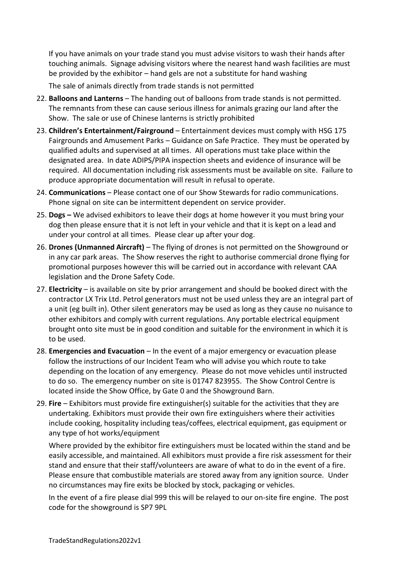If you have animals on your trade stand you must advise visitors to wash their hands after touching animals. Signage advising visitors where the nearest hand wash facilities are must be provided by the exhibitor – hand gels are not a substitute for hand washing

The sale of animals directly from trade stands is not permitted

- 22. **Balloons and Lanterns** The handing out of balloons from trade stands is not permitted. The remnants from these can cause serious illness for animals grazing our land after the Show. The sale or use of Chinese lanterns is strictly prohibited
- 23. **Children's Entertainment/Fairground** Entertainment devices must comply with HSG 175 Fairgrounds and Amusement Parks – Guidance on Safe Practice. They must be operated by qualified adults and supervised at all times. All operations must take place within the designated area. In date ADIPS/PIPA inspection sheets and evidence of insurance will be required. All documentation including risk assessments must be available on site. Failure to produce appropriate documentation will result in refusal to operate.
- 24. **Communications**  Please contact one of our Show Stewards for radio communications. Phone signal on site can be intermittent dependent on service provider.
- 25. **Dogs –** We advised exhibitors to leave their dogs at home however it you must bring your dog then please ensure that it is not left in your vehicle and that it is kept on a lead and under your control at all times. Please clear up after your dog.
- 26. **Drones (Unmanned Aircraft)**  The flying of drones is not permitted on the Showground or in any car park areas. The Show reserves the right to authorise commercial drone flying for promotional purposes however this will be carried out in accordance with relevant CAA legislation and the Drone Safety Code.
- 27. **Electricity** is available on site by prior arrangement and should be booked direct with the contractor LX Trix Ltd. Petrol generators must not be used unless they are an integral part of a unit (eg built in). Other silent generators may be used as long as they cause no nuisance to other exhibitors and comply with current regulations. Any portable electrical equipment brought onto site must be in good condition and suitable for the environment in which it is to be used.
- 28. **Emergencies and Evacuation**  In the event of a major emergency or evacuation please follow the instructions of our Incident Team who will advise you which route to take depending on the location of any emergency. Please do not move vehicles until instructed to do so. The emergency number on site is 01747 823955. The Show Control Centre is located inside the Show Office, by Gate 0 and the Showground Barn.
- 29. **Fire** Exhibitors must provide fire extinguisher(s) suitable for the activities that they are undertaking. Exhibitors must provide their own fire extinguishers where their activities include cooking, hospitality including teas/coffees, electrical equipment, gas equipment or any type of hot works/equipment

Where provided by the exhibitor fire extinguishers must be located within the stand and be easily accessible, and maintained. All exhibitors must provide a fire risk assessment for their stand and ensure that their staff/volunteers are aware of what to do in the event of a fire. Please ensure that combustible materials are stored away from any ignition source. Under no circumstances may fire exits be blocked by stock, packaging or vehicles.

In the event of a fire please dial 999 this will be relayed to our on-site fire engine. The post code for the showground is SP7 9PL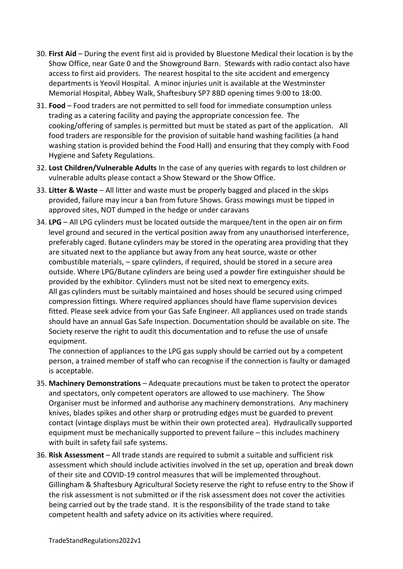- 30. **First Aid**  During the event first aid is provided by Bluestone Medical their location is by the Show Office, near Gate 0 and the Showground Barn. Stewards with radio contact also have access to first aid providers. The nearest hospital to the site accident and emergency departments is Yeovil Hospital. A minor injuries unit is available at the Westminster Memorial Hospital, Abbey Walk, Shaftesbury SP7 8BD opening times 9:00 to 18:00.
- 31. **Food**  Food traders are not permitted to sell food for immediate consumption unless trading as a catering facility and paying the appropriate concession fee. The cooking/offering of samples is permitted but must be stated as part of the application. All food traders are responsible for the provision of suitable hand washing facilities (a hand washing station is provided behind the Food Hall) and ensuring that they comply with Food Hygiene and Safety Regulations.
- 32. **Lost Children/Vulnerable Adults** In the case of any queries with regards to lost children or vulnerable adults please contact a Show Steward or the Show Office.
- 33. **Litter & Waste** All litter and waste must be properly bagged and placed in the skips provided, failure may incur a ban from future Shows. Grass mowings must be tipped in approved sites, NOT dumped in the hedge or under caravans
- 34. **LPG** All LPG cylinders must be located outside the marquee/tent in the open air on firm level ground and secured in the vertical position away from any unauthorised interference, preferably caged. Butane cylinders may be stored in the operating area providing that they are situated next to the appliance but away from any heat source, waste or other combustible materials, – spare cylinders, if required, should be stored in a secure area outside. Where LPG/Butane cylinders are being used a powder fire extinguisher should be provided by the exhibitor. Cylinders must not be sited next to emergency exits. All gas cylinders must be suitably maintained and hoses should be secured using crimped compression fittings. Where required appliances should have flame supervision devices fitted. Please seek advice from your Gas Safe Engineer. All appliances used on trade stands should have an annual Gas Safe Inspection. Documentation should be available on site. The Society reserve the right to audit this documentation and to refuse the use of unsafe equipment.

The connection of appliances to the LPG gas supply should be carried out by a competent person, a trained member of staff who can recognise if the connection is faulty or damaged is acceptable.

- 35. **Machinery Demonstrations**  Adequate precautions must be taken to protect the operator and spectators, only competent operators are allowed to use machinery. The Show Organiser must be informed and authorise any machinery demonstrations. Any machinery knives, blades spikes and other sharp or protruding edges must be guarded to prevent contact (vintage displays must be within their own protected area). Hydraulically supported equipment must be mechanically supported to prevent failure – this includes machinery with built in safety fail safe systems.
- 36. **Risk Assessment** All trade stands are required to submit a suitable and sufficient risk assessment which should include activities involved in the set up, operation and break down of their site and COVID-19 control measures that will be implemented throughout. Gillingham & Shaftesbury Agricultural Society reserve the right to refuse entry to the Show if the risk assessment is not submitted or if the risk assessment does not cover the activities being carried out by the trade stand. It is the responsibility of the trade stand to take competent health and safety advice on its activities where required.